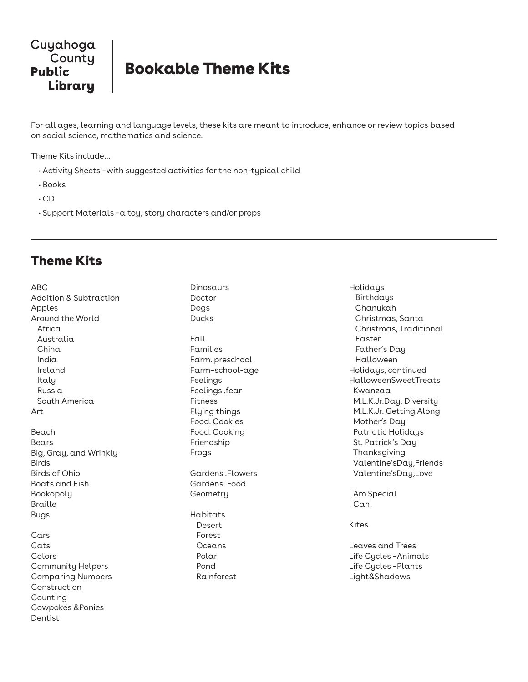

## Bookable Theme Kits

For all ages, learning and language levels, these kits are meant to introduce, enhance or review topics based on social science, mathematics and science.

Theme Kits include…

- Activity Sheets –with suggested activities for the non-typical child
- Books
- CD
- Support Materials –a toy, story characters and/or props

## Theme Kits

| <b>ABC</b><br><b>Addition &amp; Subtraction</b><br>Apples<br>Around the World<br>Africa<br>Australia<br>China<br>India<br>Ireland<br>Italy<br>Russia |
|------------------------------------------------------------------------------------------------------------------------------------------------------|
| South America<br>Art                                                                                                                                 |
| Beach<br>Bears<br>Big, Gray, and Wrinkly<br><b>Birds</b><br><b>Birds of Ohio</b><br><b>Boats and Fish</b><br>Bookopoly<br><b>Braille</b><br>Bugs     |
| Cars<br>Cats<br>Colors<br><b>Community Helpers</b><br><b>Comparing Numbers</b><br>Construction<br>Counting<br>Cowpokes & Ponies<br>Dentist           |

Dinosaurs Doctor Dogs Ducks Fall Families Farm. preschool Farm–school-age Feelings Feelings .fear Fitness Flying things Food. Cookies Food. Cooking Friendship Frogs Gardens .Flowers Gardens .Food **Geometry** Habitats Desert Forest Oceans Polar Pond Rainforest

Holidays Birthdays Chanukah Christmas, Santa Christmas, Traditional Easter Father's Day Halloween Holidays, continued HalloweenSweetTreats Kwanzaa M.L.K.Jr.Day, Diversity M.L.K.Jr. Getting Along Mother's Day Patriotic Holidays St. Patrick's Day Thanksgiving Valentine'sDay,Friends Valentine'sDay,Love

I Am Special I Can!

Kites

Leaves and Trees Life Cycles –Animals Life Cycles –Plants Light&Shadows